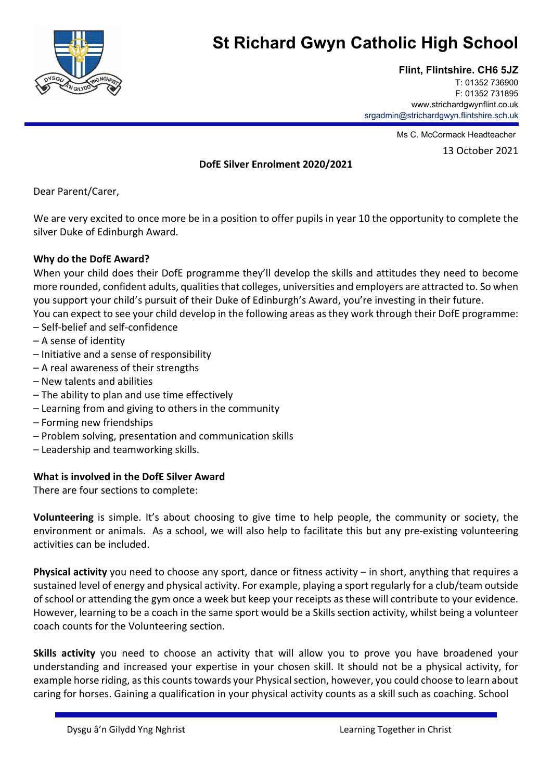

# **St Richard Gwyn Catholic High School**

**Flint, Flintshire. CH6 5JZ** 

T: 01352 736900 F: 01352 731895 www.strichardgwynflint.co.uk srgadmin@strichardgwyn.flintshire.sch.uk

Ms C. McCormack Headteacher

13 October 2021

### **DofE Silver Enrolment 2020/2021**

Dear Parent/Carer,

We are very excited to once more be in a position to offer pupils in year 10 the opportunity to complete the silver Duke of Edinburgh Award.

### **Why do the DofE Award?**

When your child does their DofE programme they'll develop the skills and attitudes they need to become more rounded, confident adults, qualities that colleges, universities and employers are attracted to. So when you support your child's pursuit of their Duke of Edinburgh's Award, you're investing in their future.

You can expect to see your child develop in the following areas as they work through their DofE programme: – Self‐belief and self‐confidence

- A sense of identity
- Initiative and a sense of responsibility
- A real awareness of their strengths
- New talents and abilities
- The ability to plan and use time effectively
- Learning from and giving to others in the community
- Forming new friendships
- Problem solving, presentation and communication skills
- Leadership and teamworking skills.

#### **What is involved in the DofE Silver Award**

There are four sections to complete:

**Volunteering** is simple. It's about choosing to give time to help people, the community or society, the environment or animals. As a school, we will also help to facilitate this but any pre‐existing volunteering activities can be included.

**Physical activity** you need to choose any sport, dance or fitness activity – in short, anything that requires a sustained level of energy and physical activity. For example, playing a sport regularly for a club/team outside of school or attending the gym once a week but keep your receipts as these will contribute to your evidence. However, learning to be a coach in the same sport would be a Skills section activity, whilst being a volunteer coach counts for the Volunteering section.

**Skills activity** you need to choose an activity that will allow you to prove you have broadened your understanding and increased your expertise in your chosen skill. It should not be a physical activity, for example horse riding, as this counts towards your Physical section, however, you could choose to learn about caring for horses. Gaining a qualification in your physical activity counts as a skill such as coaching. School